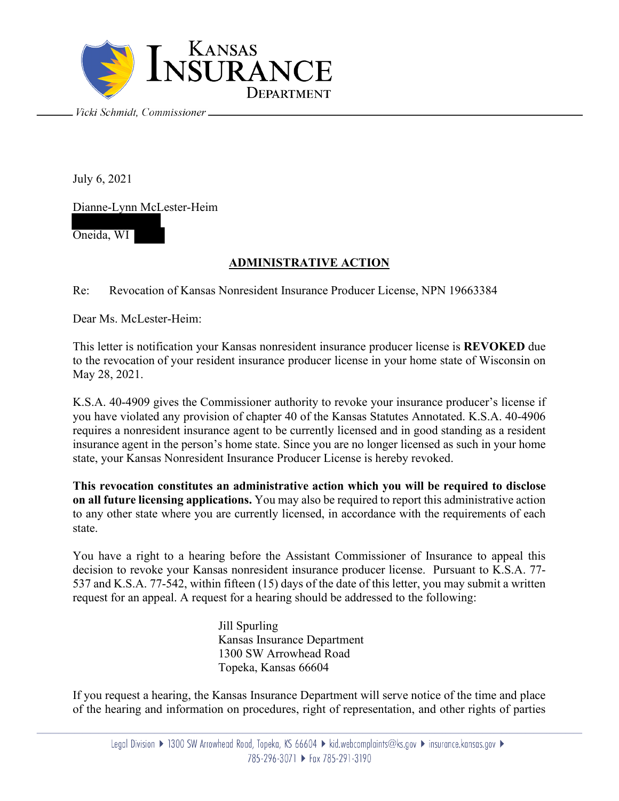

July 6, 2021

Dianne-Lynn McLester-Heim

Oneida, WI

## **ADMINISTRATIVE ACTION**

Re: Revocation of Kansas Nonresident Insurance Producer License, NPN 19663384

Dear Ms. McLester-Heim:

This letter is notification your Kansas nonresident insurance producer license is **REVOKED** due to the revocation of your resident insurance producer license in your home state of Wisconsin on May 28, 2021.

K.S.A. 40-4909 gives the Commissioner authority to revoke your insurance producer's license if you have violated any provision of chapter 40 of the Kansas Statutes Annotated. K.S.A. 40-4906 requires a nonresident insurance agent to be currently licensed and in good standing as a resident insurance agent in the person's home state. Since you are no longer licensed as such in your home state, your Kansas Nonresident Insurance Producer License is hereby revoked.

**This revocation constitutes an administrative action which you will be required to disclose on all future licensing applications.** You may also be required to report this administrative action to any other state where you are currently licensed, in accordance with the requirements of each state.

You have a right to a hearing before the Assistant Commissioner of Insurance to appeal this decision to revoke your Kansas nonresident insurance producer license. Pursuant to K.S.A. 77- 537 and K.S.A. 77-542, within fifteen (15) days of the date of this letter, you may submit a written request for an appeal. A request for a hearing should be addressed to the following:

> Jill Spurling Kansas Insurance Department 1300 SW Arrowhead Road Topeka, Kansas 66604

If you request a hearing, the Kansas Insurance Department will serve notice of the time and place of the hearing and information on procedures, right of representation, and other rights of parties